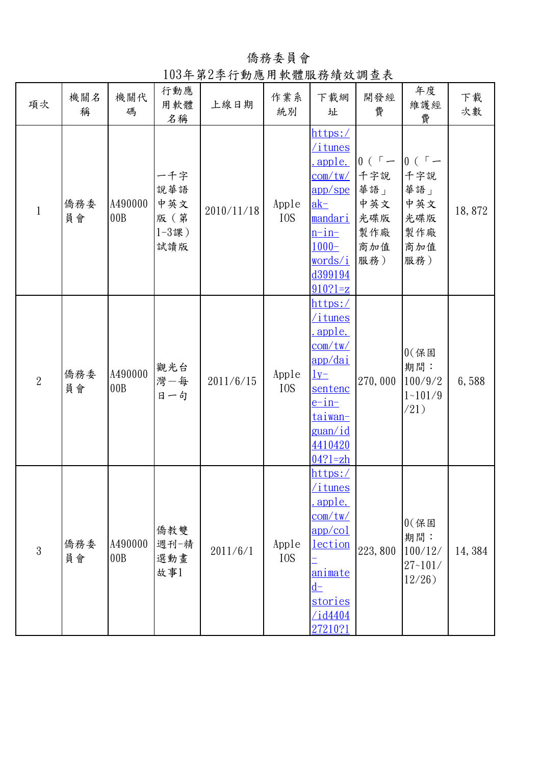僑務委員會

103年第2季行動應用軟體服務績效調查表

| 項次             | 機關名<br>稱  | 機關代<br>碼       | 行動應<br>用軟體<br>名稱                               | 上線日期       | 作業系<br>統別                 | 下載網<br>址                                                                                                                                                          | 開發經<br>費                                                              | 年度<br>維護經<br>費                                                        | 下載<br>次數 |
|----------------|-----------|----------------|------------------------------------------------|------------|---------------------------|-------------------------------------------------------------------------------------------------------------------------------------------------------------------|-----------------------------------------------------------------------|-----------------------------------------------------------------------|----------|
| $\mathbf{1}$   | 僑務委<br>員會 | A490000<br>00B | 一千字<br>說華語<br>中英文<br>版 (第<br>$1 - 3$ 課)<br>試讀版 | 2010/11/18 | Apple<br>I <sub>0</sub> S | https:/<br>itunes<br>apple.<br>com/tw/<br>app/spe<br>$ak-$<br><u>mandari</u><br>$n$ -in-<br>$1000 -$<br><u>words/i</u><br>d399194<br>$910?1 = z$                  | $0$ ( $\sqrt{ }$ $-$<br>千字說<br>華語」<br>中英文<br>光碟版<br>製作廠<br>商加值<br>服務) | $0$ ( $\sqrt{ }$ $-$<br>千字說<br>華語」<br>中英文<br>光碟版<br>製作廠<br>商加值<br>服務) | 18,872   |
| $\overline{2}$ | 僑務委<br>員會 | A490000<br>00B | 觀光台<br>灣一每<br>日一句                              | 2011/6/15  | Apple<br>I <sub>0</sub> S | https:/<br><u>itunes</u><br>apple.<br>com/tw/<br><u>app/dai</u><br>$1y-$<br>sentenc<br><u>e-in-</u><br><u>taiwan-</u><br><u>guan/id</u><br>4410420<br>$04?1 = zh$ | 270,000                                                               | $0$ $($ 保固<br>期間:<br>100/9/2<br>$1 - 101/9$<br>(21)                   | 6,588    |
| $\mathfrak{Z}$ | 僑務委<br>員會 | A490000<br>00B | 僑教雙<br>週刊一精<br>選動畫<br>故事1                      | 2011/6/1   | Apple<br>I <sub>0</sub> S | https:/<br><u>/itunes</u><br>apple.<br><u>com/tw/</u><br>app/col<br>lection<br>animate<br>$d-$<br><u>stories</u><br>$\sqrt{1d4404}$<br>27210?1                    | 223,800                                                               | $0$ $($ 保固<br>期間:<br>100/12/<br>$27 - 101/$<br>$12/26$ )              | 14, 384  |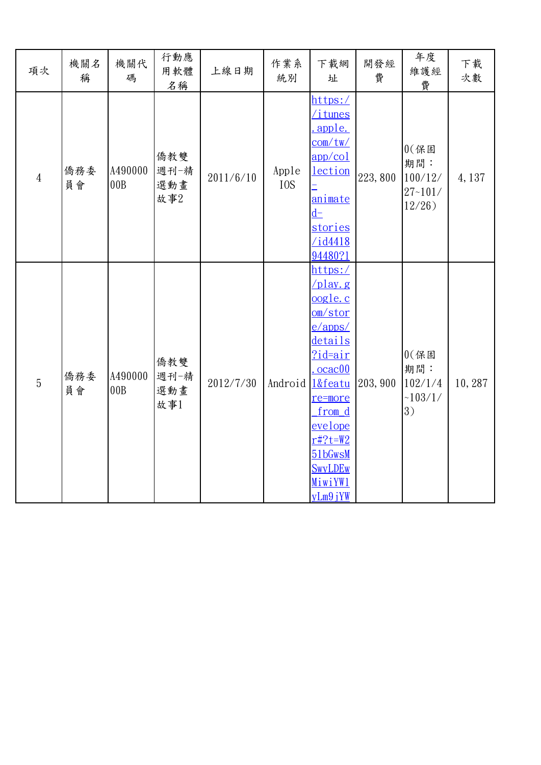| 項次             | 機關名<br>稱  | 機關代<br>碼       | 行動應<br>用軟體<br>名稱          | 上線日期      | 作業系<br>統別                 | 下載網<br>址                                                                                                                                                                                                    | 開發經<br>費 | 年度<br>維護經<br>費                                           | 下載<br>次數 |
|----------------|-----------|----------------|---------------------------|-----------|---------------------------|-------------------------------------------------------------------------------------------------------------------------------------------------------------------------------------------------------------|----------|----------------------------------------------------------|----------|
| $\overline{4}$ | 僑務委<br>員會 | A490000<br>00B | 僑教雙<br>週刊一精<br>選動畫<br>故事2 | 2011/6/10 | Apple<br>I <sub>0</sub> S | https:/<br>itunes<br>apple.<br>com/tw/<br>app/col<br><b>lection</b><br>animate<br>$d-$<br>stories<br>$\overline{\frac{\text{1d4418}}{2}}$<br>94480?1                                                        | 223,800  | $0$ $($ 保固<br>期間:<br>100/12/<br>$27 - 101/$<br>$12/26$ ) | 4,137    |
| $\overline{5}$ | 僑務委<br>員會 | A490000<br>00B | 僑教雙<br>週刊一精<br>選動畫<br>故事1 | 2012/7/30 | Android                   | https:/<br>$\sqrt{play.g}$<br>oogle.c<br>om/stor<br>$e/$ apps/<br>details<br>?id=air<br>ocac00<br>1&featu<br>re=more<br>from d<br>evelope<br>$r#?t = W2$<br>51bGwsM<br><b>SwyLDEw</b><br>MiwiYW1<br>yLm9jYW | 203, 900 | $0$ $($ 保固<br>期間:<br>102/1/4<br>~103/1/<br>3)            | 10,287   |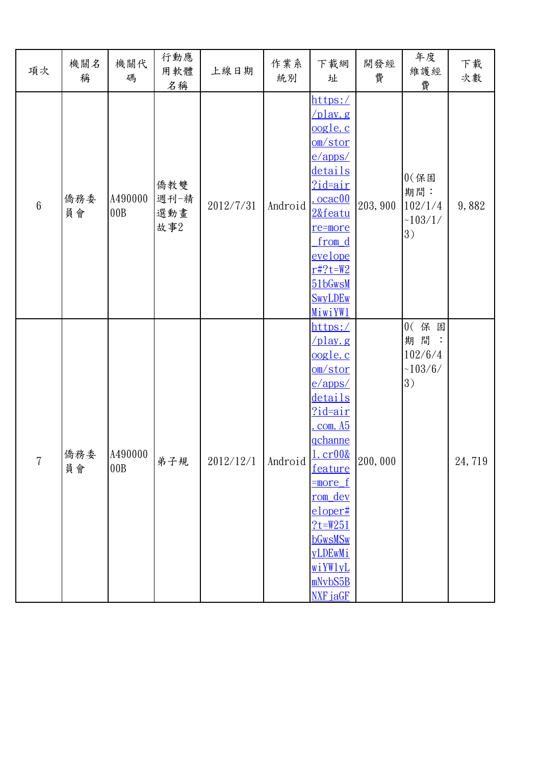| 項次             | 機關名<br>稱  | 機關代<br>碼       | 行動應<br>用軟體<br>名稱          | 上線日期      | 作業系<br>統別 | 下載網<br>址                                                                                                                                                                                                                                                                                    | 開發經<br>費 | 年度<br>維護經<br>費                                | 下載<br>次數 |
|----------------|-----------|----------------|---------------------------|-----------|-----------|---------------------------------------------------------------------------------------------------------------------------------------------------------------------------------------------------------------------------------------------------------------------------------------------|----------|-----------------------------------------------|----------|
| $6\phantom{a}$ | 僑務委<br>員會 | A490000<br>00B | 僑教雙<br>週刊一精<br>選動畫<br>故事2 | 2012/7/31 | Android   | https:/<br>$\sqrt{\text{play. g}}$<br>oogle.c<br>om/stor<br>$e/$ apps/<br>details<br><u>?id=air</u><br>ocac00<br>2&featu<br>re=more<br>from d<br>evelope<br>$r#?t = W2$<br>51bGwsM<br><b>SwyLDEw</b><br>MiwiYW1                                                                             | 203, 900 | $0$ $($ 保固<br>期間:<br>102/1/4<br>~103/1/<br>3) | 9,882    |
| $\overline{7}$ | 僑務委<br>員會 | A490000<br>00B | 弟子規                       | 2012/12/1 | Android   | https:/<br>$\sqrt{play. g}$<br><u>oogle.c</u><br>om/stor<br>$e/$ apps/<br>details<br>?id=air<br>com. A5<br><u>qchanne</u><br><u>1. cr00&amp;</u><br>feature<br><u>=more_f</u><br><u>rom dev</u><br>$e$ loper#<br>$?t = W251$<br><b>bGwsMSw</b><br>yLDEwMi<br>wiYWlyL<br>mNvbS5B<br>NXF jaGF | 200,000  | 0(保固<br>期間<br>102/6/4<br>~103/6/<br>3)        | 24,719   |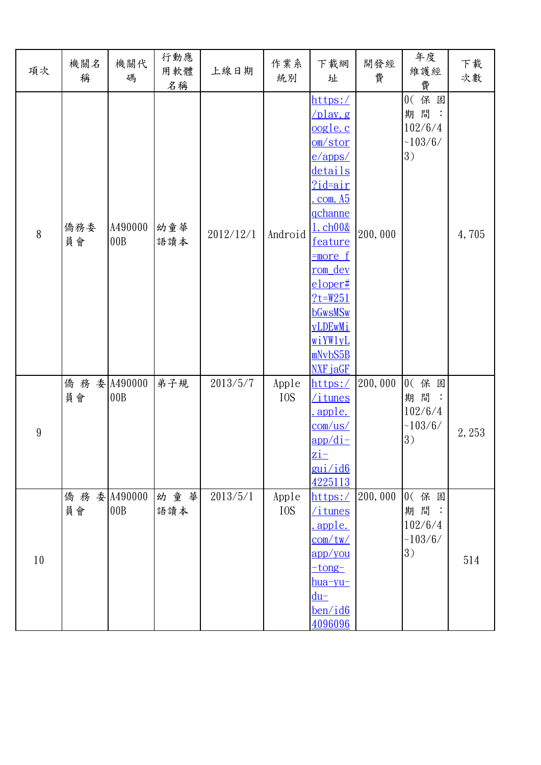| 項次               | 機關名<br>稱            | 機關代<br>碼       | 行動應<br>用軟體<br>名稱 | 上線日期      | 作業系<br>統別                 | 下載網<br>址                                                                                                                                                                                                                                                                                | 開發經<br>費 | 年度<br>維護經<br>費                          | 下載<br>次數 |
|------------------|---------------------|----------------|------------------|-----------|---------------------------|-----------------------------------------------------------------------------------------------------------------------------------------------------------------------------------------------------------------------------------------------------------------------------------------|----------|-----------------------------------------|----------|
| 8                | 僑務委<br>員會           | A490000<br>00B | 幼童華<br>語讀本       | 2012/12/1 | Android                   | https:/<br>$\sqrt{play. g}$<br><u>oogle.c</u><br>om/stor<br>$e/$ apps/<br>details<br>$?$ id=air<br>com. A5<br>gchanne<br><u>1. ch00&amp;</u><br>feature<br><u>=more f</u><br><u>rom</u> dev<br>$e$ loper#<br>$?t = W251$<br><b>bGwsMSw</b><br>yLDEwMi<br>wiYWlyL<br>mNvbS5B<br>NXF jaGF | 200,000  | 0(保固<br>期間:<br>102/6/4<br>~103/6/<br>3) | 4,705    |
| $\boldsymbol{9}$ | 僑 務 委 A490000<br>員會 | 00B            | 弟子規              | 2013/5/7  | Apple<br>I <sub>0</sub> S | https:/<br><u>/itunes</u><br><u>apple.</u><br>$com-us/$<br><u>app/di-</u><br>$\overline{\mathbf{z}}$ i –<br>gui/id6<br>4225113                                                                                                                                                          | 200,000  | 0(保固<br>期間:<br>102/6/4<br>~103/6/<br>3) | 2,253    |
| $10\,$           | 僑 務 委 A490000<br>員會 | 00B            | 幼童華<br>語讀本       | 2013/5/1  | Apple<br>I <sub>0</sub> S | https:/<br>/itunes<br>.apple.<br>com/tw/<br>app/you<br>$-tong-$<br><u>hua-yu-</u><br>$du-$<br>ben/id6<br>4096096                                                                                                                                                                        | 200,000  | 0(保固<br>期間:<br>102/6/4<br>~103/6/<br>3) | 514      |